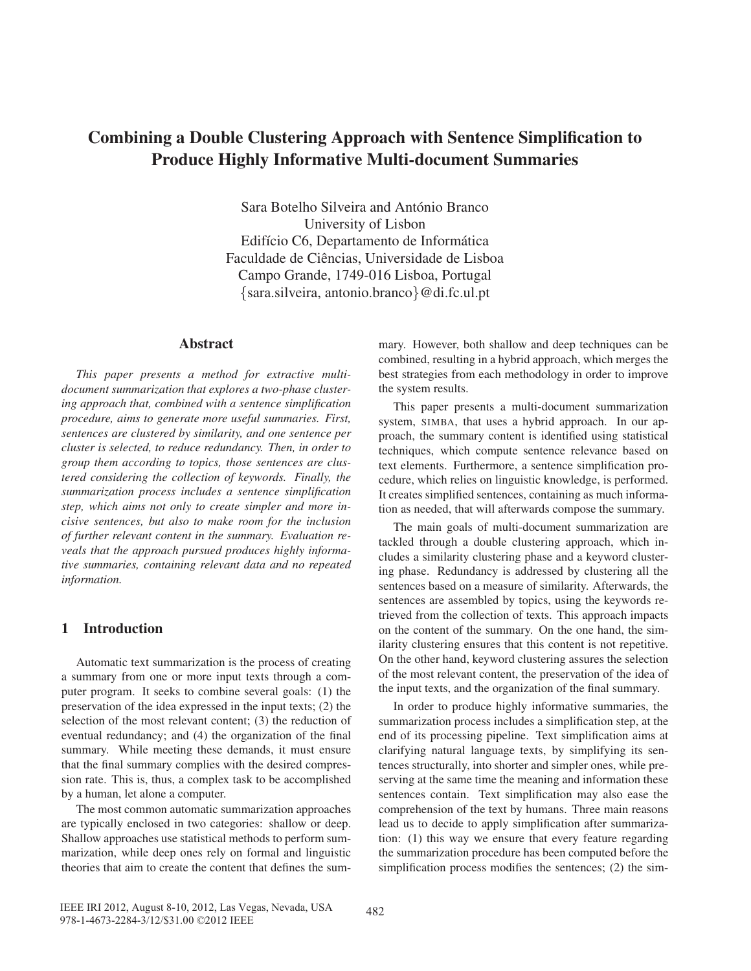# Combining a Double Clustering Approach with Sentence Simplification to Produce Highly Informative Multi-document Summaries

Sara Botelho Silveira and António Branco University of Lisbon Edifício C6, Departamento de Informática Faculdade de Ciências, Universidade de Lisboa Campo Grande, 1749-016 Lisboa, Portugal {sara.silveira, antonio.branco}@di.fc.ul.pt

## **Abstract**

*This paper presents a method for extractive multidocument summarization that explores a two-phase clustering approach that, combined with a sentence simplification procedure, aims to generate more useful summaries. First, sentences are clustered by similarity, and one sentence per cluster is selected, to reduce redundancy. Then, in order to group them according to topics, those sentences are clustered considering the collection of keywords. Finally, the summarization process includes a sentence simplification step, which aims not only to create simpler and more incisive sentences, but also to make room for the inclusion of further relevant content in the summary. Evaluation reveals that the approach pursued produces highly informative summaries, containing relevant data and no repeated information.*

# 1 Introduction

Automatic text summarization is the process of creating a summary from one or more input texts through a computer program. It seeks to combine several goals: (1) the preservation of the idea expressed in the input texts; (2) the selection of the most relevant content; (3) the reduction of eventual redundancy; and (4) the organization of the final summary. While meeting these demands, it must ensure that the final summary complies with the desired compression rate. This is, thus, a complex task to be accomplished by a human, let alone a computer.

The most common automatic summarization approaches are typically enclosed in two categories: shallow or deep. Shallow approaches use statistical methods to perform summarization, while deep ones rely on formal and linguistic theories that aim to create the content that defines the summary. However, both shallow and deep techniques can be combined, resulting in a hybrid approach, which merges the best strategies from each methodology in order to improve the system results.

This paper presents a multi-document summarization system, SIMBA, that uses a hybrid approach. In our approach, the summary content is identified using statistical techniques, which compute sentence relevance based on text elements. Furthermore, a sentence simplification procedure, which relies on linguistic knowledge, is performed. It creates simplified sentences, containing as much information as needed, that will afterwards compose the summary.

The main goals of multi-document summarization are tackled through a double clustering approach, which includes a similarity clustering phase and a keyword clustering phase. Redundancy is addressed by clustering all the sentences based on a measure of similarity. Afterwards, the sentences are assembled by topics, using the keywords retrieved from the collection of texts. This approach impacts on the content of the summary. On the one hand, the similarity clustering ensures that this content is not repetitive. On the other hand, keyword clustering assures the selection of the most relevant content, the preservation of the idea of the input texts, and the organization of the final summary.

In order to produce highly informative summaries, the summarization process includes a simplification step, at the end of its processing pipeline. Text simplification aims at clarifying natural language texts, by simplifying its sentences structurally, into shorter and simpler ones, while preserving at the same time the meaning and information these sentences contain. Text simplification may also ease the comprehension of the text by humans. Three main reasons lead us to decide to apply simplification after summarization: (1) this way we ensure that every feature regarding the summarization procedure has been computed before the simplification process modifies the sentences; (2) the sim-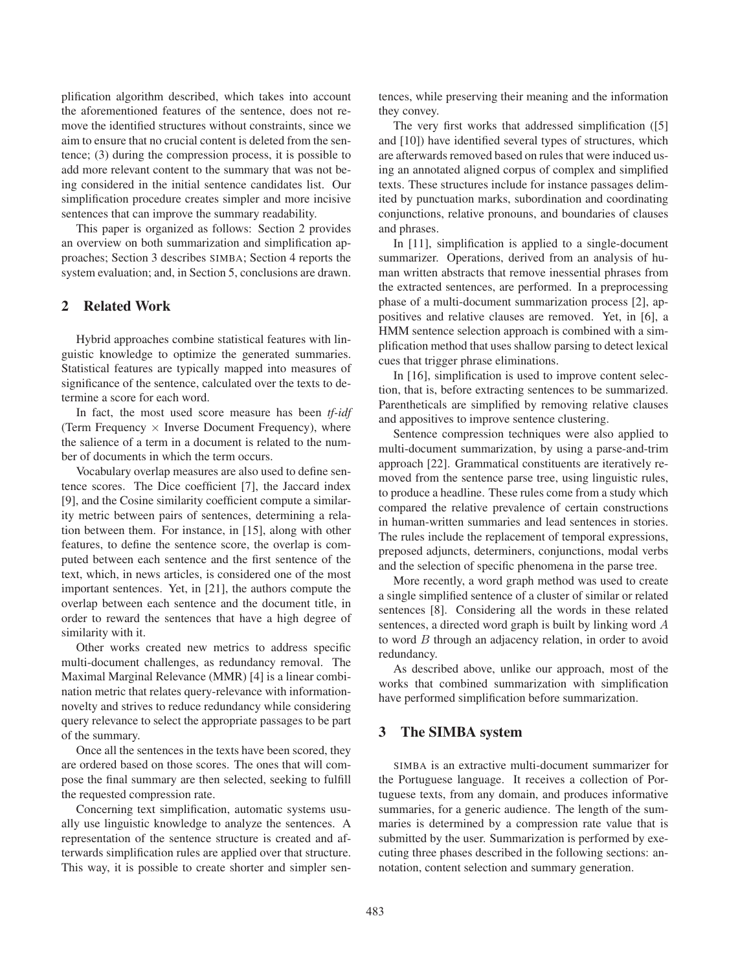plification algorithm described, which takes into account the aforementioned features of the sentence, does not remove the identified structures without constraints, since we aim to ensure that no crucial content is deleted from the sentence; (3) during the compression process, it is possible to add more relevant content to the summary that was not being considered in the initial sentence candidates list. Our simplification procedure creates simpler and more incisive sentences that can improve the summary readability.

This paper is organized as follows: Section 2 provides an overview on both summarization and simplification approaches; Section 3 describes SIMBA; Section 4 reports the system evaluation; and, in Section 5, conclusions are drawn.

#### 2 Related Work

Hybrid approaches combine statistical features with linguistic knowledge to optimize the generated summaries. Statistical features are typically mapped into measures of significance of the sentence, calculated over the texts to determine a score for each word.

In fact, the most used score measure has been *tf-idf* (Term Frequency  $\times$  Inverse Document Frequency), where the salience of a term in a document is related to the number of documents in which the term occurs.

Vocabulary overlap measures are also used to define sentence scores. The Dice coefficient [7], the Jaccard index [9], and the Cosine similarity coefficient compute a similarity metric between pairs of sentences, determining a relation between them. For instance, in [15], along with other features, to define the sentence score, the overlap is computed between each sentence and the first sentence of the text, which, in news articles, is considered one of the most important sentences. Yet, in [21], the authors compute the overlap between each sentence and the document title, in order to reward the sentences that have a high degree of similarity with it.

Other works created new metrics to address specific multi-document challenges, as redundancy removal. The Maximal Marginal Relevance (MMR) [4] is a linear combination metric that relates query-relevance with informationnovelty and strives to reduce redundancy while considering query relevance to select the appropriate passages to be part of the summary.

Once all the sentences in the texts have been scored, they are ordered based on those scores. The ones that will compose the final summary are then selected, seeking to fulfill the requested compression rate.

Concerning text simplification, automatic systems usually use linguistic knowledge to analyze the sentences. A representation of the sentence structure is created and afterwards simplification rules are applied over that structure. This way, it is possible to create shorter and simpler sentences, while preserving their meaning and the information they convey.

The very first works that addressed simplification ([5] and [10]) have identified several types of structures, which are afterwards removed based on rules that were induced using an annotated aligned corpus of complex and simplified texts. These structures include for instance passages delimited by punctuation marks, subordination and coordinating conjunctions, relative pronouns, and boundaries of clauses and phrases.

In [11], simplification is applied to a single-document summarizer. Operations, derived from an analysis of human written abstracts that remove inessential phrases from the extracted sentences, are performed. In a preprocessing phase of a multi-document summarization process [2], appositives and relative clauses are removed. Yet, in [6], a HMM sentence selection approach is combined with a simplification method that uses shallow parsing to detect lexical cues that trigger phrase eliminations.

In [16], simplification is used to improve content selection, that is, before extracting sentences to be summarized. Parentheticals are simplified by removing relative clauses and appositives to improve sentence clustering.

Sentence compression techniques were also applied to multi-document summarization, by using a parse-and-trim approach [22]. Grammatical constituents are iteratively removed from the sentence parse tree, using linguistic rules, to produce a headline. These rules come from a study which compared the relative prevalence of certain constructions in human-written summaries and lead sentences in stories. The rules include the replacement of temporal expressions, preposed adjuncts, determiners, conjunctions, modal verbs and the selection of specific phenomena in the parse tree.

More recently, a word graph method was used to create a single simplified sentence of a cluster of similar or related sentences [8]. Considering all the words in these related sentences, a directed word graph is built by linking word A to word B through an adjacency relation, in order to avoid redundancy.

As described above, unlike our approach, most of the works that combined summarization with simplification have performed simplification before summarization.

#### 3 The SIMBA system

SIMBA is an extractive multi-document summarizer for the Portuguese language. It receives a collection of Portuguese texts, from any domain, and produces informative summaries, for a generic audience. The length of the summaries is determined by a compression rate value that is submitted by the user. Summarization is performed by executing three phases described in the following sections: annotation, content selection and summary generation.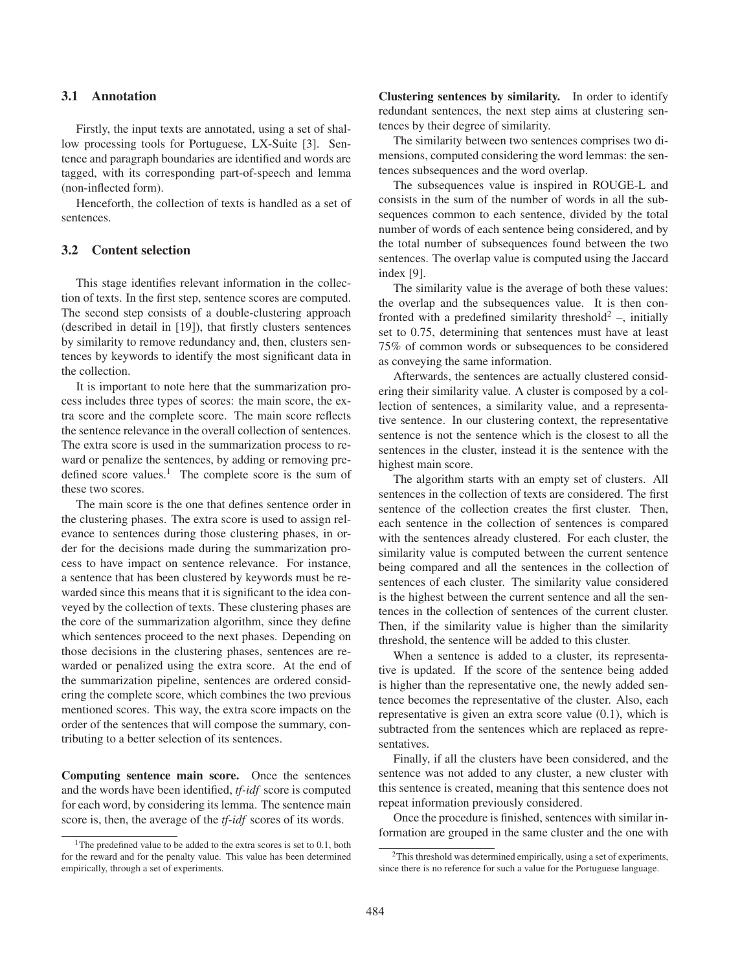#### 3.1 Annotation

Firstly, the input texts are annotated, using a set of shallow processing tools for Portuguese, LX-Suite [3]. Sentence and paragraph boundaries are identified and words are tagged, with its corresponding part-of-speech and lemma (non-inflected form).

Henceforth, the collection of texts is handled as a set of sentences.

#### 3.2 Content selection

This stage identifies relevant information in the collection of texts. In the first step, sentence scores are computed. The second step consists of a double-clustering approach (described in detail in [19]), that firstly clusters sentences by similarity to remove redundancy and, then, clusters sentences by keywords to identify the most significant data in the collection.

It is important to note here that the summarization process includes three types of scores: the main score, the extra score and the complete score. The main score reflects the sentence relevance in the overall collection of sentences. The extra score is used in the summarization process to reward or penalize the sentences, by adding or removing predefined score values.<sup>1</sup> The complete score is the sum of these two scores.

The main score is the one that defines sentence order in the clustering phases. The extra score is used to assign relevance to sentences during those clustering phases, in order for the decisions made during the summarization process to have impact on sentence relevance. For instance, a sentence that has been clustered by keywords must be rewarded since this means that it is significant to the idea conveyed by the collection of texts. These clustering phases are the core of the summarization algorithm, since they define which sentences proceed to the next phases. Depending on those decisions in the clustering phases, sentences are rewarded or penalized using the extra score. At the end of the summarization pipeline, sentences are ordered considering the complete score, which combines the two previous mentioned scores. This way, the extra score impacts on the order of the sentences that will compose the summary, contributing to a better selection of its sentences.

Computing sentence main score. Once the sentences and the words have been identified, *tf-idf* score is computed for each word, by considering its lemma. The sentence main score is, then, the average of the *tf-idf* scores of its words.

Clustering sentences by similarity. In order to identify redundant sentences, the next step aims at clustering sentences by their degree of similarity.

The similarity between two sentences comprises two dimensions, computed considering the word lemmas: the sentences subsequences and the word overlap.

The subsequences value is inspired in ROUGE-L and consists in the sum of the number of words in all the subsequences common to each sentence, divided by the total number of words of each sentence being considered, and by the total number of subsequences found between the two sentences. The overlap value is computed using the Jaccard index [9].

The similarity value is the average of both these values: the overlap and the subsequences value. It is then confronted with a predefined similarity threshold<sup>2</sup> –, initially set to 0.75, determining that sentences must have at least 75% of common words or subsequences to be considered as conveying the same information.

Afterwards, the sentences are actually clustered considering their similarity value. A cluster is composed by a collection of sentences, a similarity value, and a representative sentence. In our clustering context, the representative sentence is not the sentence which is the closest to all the sentences in the cluster, instead it is the sentence with the highest main score.

The algorithm starts with an empty set of clusters. All sentences in the collection of texts are considered. The first sentence of the collection creates the first cluster. Then, each sentence in the collection of sentences is compared with the sentences already clustered. For each cluster, the similarity value is computed between the current sentence being compared and all the sentences in the collection of sentences of each cluster. The similarity value considered is the highest between the current sentence and all the sentences in the collection of sentences of the current cluster. Then, if the similarity value is higher than the similarity threshold, the sentence will be added to this cluster.

When a sentence is added to a cluster, its representative is updated. If the score of the sentence being added is higher than the representative one, the newly added sentence becomes the representative of the cluster. Also, each representative is given an extra score value (0.1), which is subtracted from the sentences which are replaced as representatives.

Finally, if all the clusters have been considered, and the sentence was not added to any cluster, a new cluster with this sentence is created, meaning that this sentence does not repeat information previously considered.

Once the procedure is finished, sentences with similar information are grouped in the same cluster and the one with

<sup>&</sup>lt;sup>1</sup>The predefined value to be added to the extra scores is set to 0.1, both for the reward and for the penalty value. This value has been determined empirically, through a set of experiments.

<sup>2</sup>This threshold was determined empirically, using a set of experiments, since there is no reference for such a value for the Portuguese language.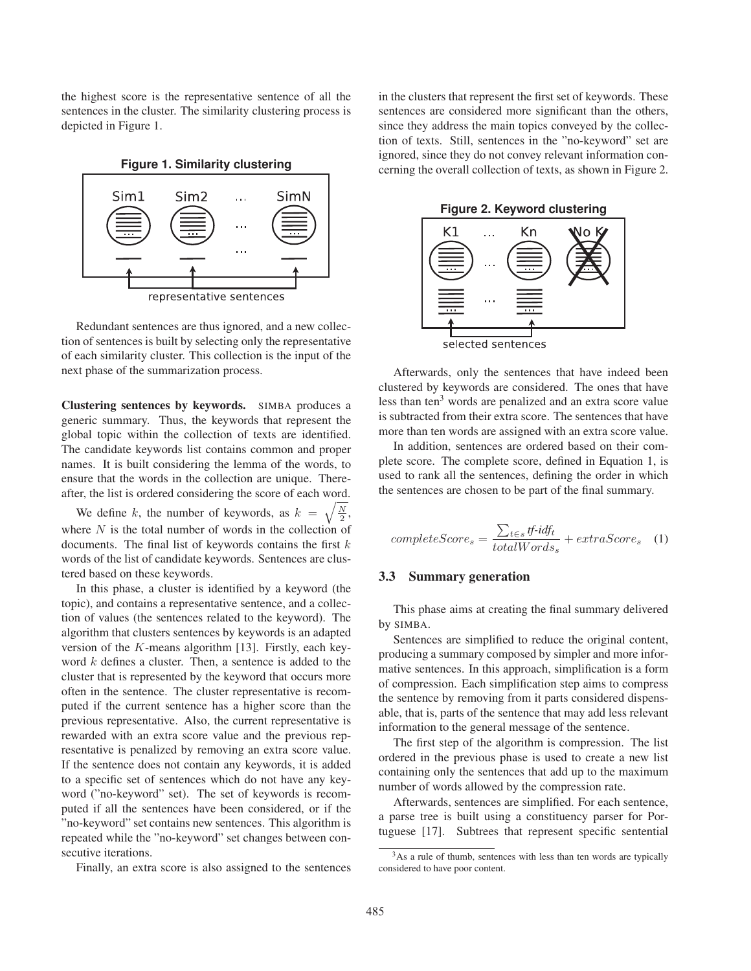the highest score is the representative sentence of all the sentences in the cluster. The similarity clustering process is depicted in Figure 1.



Redundant sentences are thus ignored, and a new collection of sentences is built by selecting only the representative of each similarity cluster. This collection is the input of the next phase of the summarization process.

Clustering sentences by keywords. SIMBA produces a generic summary. Thus, the keywords that represent the global topic within the collection of texts are identified. The candidate keywords list contains common and proper names. It is built considering the lemma of the words, to ensure that the words in the collection are unique. Thereafter, the list is ordered considering the score of each word.

We define k, the number of keywords, as  $k = \sqrt{\frac{N}{2}}$ , where  $N$  is the total number of words in the collection of documents. The final list of keywords contains the first  $k$ words of the list of candidate keywords. Sentences are clustered based on these keywords.

In this phase, a cluster is identified by a keyword (the topic), and contains a representative sentence, and a collection of values (the sentences related to the keyword). The algorithm that clusters sentences by keywords is an adapted version of the K-means algorithm [13]. Firstly, each keyword  $k$  defines a cluster. Then, a sentence is added to the cluster that is represented by the keyword that occurs more often in the sentence. The cluster representative is recomputed if the current sentence has a higher score than the previous representative. Also, the current representative is rewarded with an extra score value and the previous representative is penalized by removing an extra score value. If the sentence does not contain any keywords, it is added to a specific set of sentences which do not have any keyword ("no-keyword" set). The set of keywords is recomputed if all the sentences have been considered, or if the "no-keyword" set contains new sentences. This algorithm is repeated while the "no-keyword" set changes between consecutive iterations.

Finally, an extra score is also assigned to the sentences

in the clusters that represent the first set of keywords. These sentences are considered more significant than the others, since they address the main topics conveyed by the collection of texts. Still, sentences in the "no-keyword" set are ignored, since they do not convey relevant information concerning the overall collection of texts, as shown in Figure 2.





Afterwards, only the sentences that have indeed been clustered by keywords are considered. The ones that have less than ten<sup>3</sup> words are penalized and an extra score value is subtracted from their extra score. The sentences that have more than ten words are assigned with an extra score value.

In addition, sentences are ordered based on their complete score. The complete score, defined in Equation 1, is used to rank all the sentences, defining the order in which the sentences are chosen to be part of the final summary.

$$
completeScore_s = \frac{\sum_{t \in s} tf \cdot idf_t}{totalWords_s} + extraScore_s \quad (1)
$$

#### 3.3 Summary generation

This phase aims at creating the final summary delivered by SIMBA.

Sentences are simplified to reduce the original content, producing a summary composed by simpler and more informative sentences. In this approach, simplification is a form of compression. Each simplification step aims to compress the sentence by removing from it parts considered dispensable, that is, parts of the sentence that may add less relevant information to the general message of the sentence.

The first step of the algorithm is compression. The list ordered in the previous phase is used to create a new list containing only the sentences that add up to the maximum number of words allowed by the compression rate.

Afterwards, sentences are simplified. For each sentence, a parse tree is built using a constituency parser for Portuguese [17]. Subtrees that represent specific sentential

<sup>&</sup>lt;sup>3</sup>As a rule of thumb, sentences with less than ten words are typically considered to have poor content.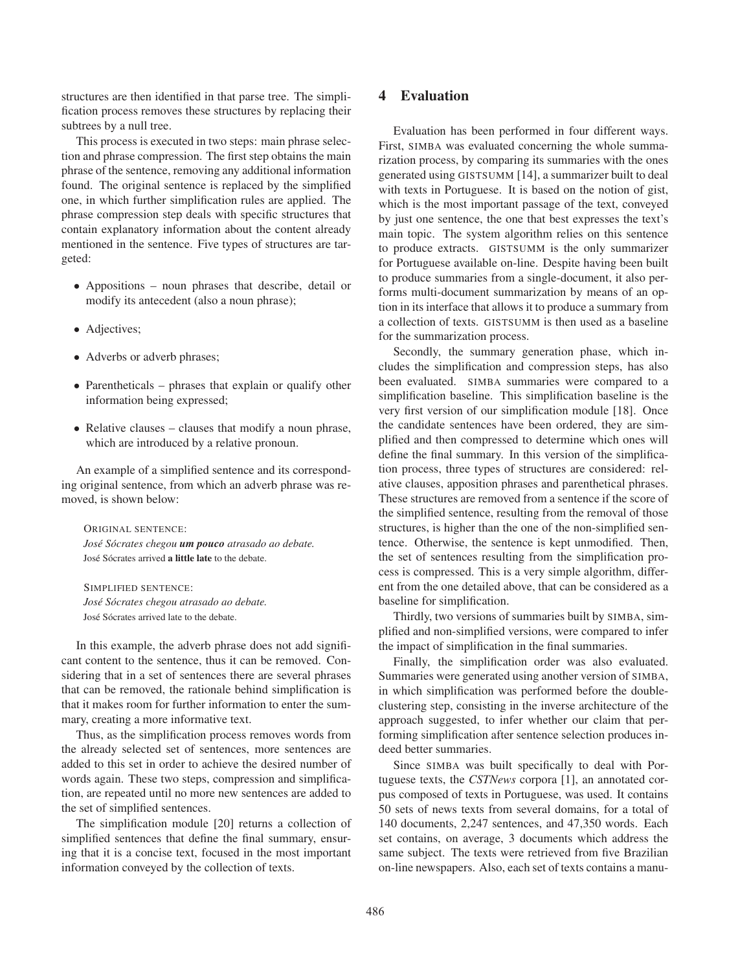structures are then identified in that parse tree. The simplification process removes these structures by replacing their subtrees by a null tree.

This process is executed in two steps: main phrase selection and phrase compression. The first step obtains the main phrase of the sentence, removing any additional information found. The original sentence is replaced by the simplified one, in which further simplification rules are applied. The phrase compression step deals with specific structures that contain explanatory information about the content already mentioned in the sentence. Five types of structures are targeted:

- Appositions noun phrases that describe, detail or modify its antecedent (also a noun phrase);
- Adjectives;
- Adverbs or adverb phrases;
- Parentheticals phrases that explain or qualify other information being expressed;
- Relative clauses clauses that modify a noun phrase, which are introduced by a relative pronoun.

An example of a simplified sentence and its corresponding original sentence, from which an adverb phrase was removed, is shown below:

ORIGINAL SENTENCE: *Jose S ´ ocrates chegou ´ um pouco atrasado ao debate.* José Sócrates arrived a little late to the debate.

SIMPLIFIED SENTENCE: *Jose S ´ ocrates chegou atrasado ao debate. ´* José Sócrates arrived late to the debate.

In this example, the adverb phrase does not add significant content to the sentence, thus it can be removed. Considering that in a set of sentences there are several phrases that can be removed, the rationale behind simplification is that it makes room for further information to enter the summary, creating a more informative text.

Thus, as the simplification process removes words from the already selected set of sentences, more sentences are added to this set in order to achieve the desired number of words again. These two steps, compression and simplification, are repeated until no more new sentences are added to the set of simplified sentences.

The simplification module [20] returns a collection of simplified sentences that define the final summary, ensuring that it is a concise text, focused in the most important information conveyed by the collection of texts.

# 4 Evaluation

Evaluation has been performed in four different ways. First, SIMBA was evaluated concerning the whole summarization process, by comparing its summaries with the ones generated using GISTSUMM [14], a summarizer built to deal with texts in Portuguese. It is based on the notion of gist, which is the most important passage of the text, conveyed by just one sentence, the one that best expresses the text's main topic. The system algorithm relies on this sentence to produce extracts. GISTSUMM is the only summarizer for Portuguese available on-line. Despite having been built to produce summaries from a single-document, it also performs multi-document summarization by means of an option in its interface that allows it to produce a summary from a collection of texts. GISTSUMM is then used as a baseline for the summarization process.

Secondly, the summary generation phase, which includes the simplification and compression steps, has also been evaluated. SIMBA summaries were compared to a simplification baseline. This simplification baseline is the very first version of our simplification module [18]. Once the candidate sentences have been ordered, they are simplified and then compressed to determine which ones will define the final summary. In this version of the simplification process, three types of structures are considered: relative clauses, apposition phrases and parenthetical phrases. These structures are removed from a sentence if the score of the simplified sentence, resulting from the removal of those structures, is higher than the one of the non-simplified sentence. Otherwise, the sentence is kept unmodified. Then, the set of sentences resulting from the simplification process is compressed. This is a very simple algorithm, different from the one detailed above, that can be considered as a baseline for simplification.

Thirdly, two versions of summaries built by SIMBA, simplified and non-simplified versions, were compared to infer the impact of simplification in the final summaries.

Finally, the simplification order was also evaluated. Summaries were generated using another version of SIMBA, in which simplification was performed before the doubleclustering step, consisting in the inverse architecture of the approach suggested, to infer whether our claim that performing simplification after sentence selection produces indeed better summaries.

Since SIMBA was built specifically to deal with Portuguese texts, the *CSTNews* corpora [1], an annotated corpus composed of texts in Portuguese, was used. It contains 50 sets of news texts from several domains, for a total of 140 documents, 2,247 sentences, and 47,350 words. Each set contains, on average, 3 documents which address the same subject. The texts were retrieved from five Brazilian on-line newspapers. Also, each set of texts contains a manu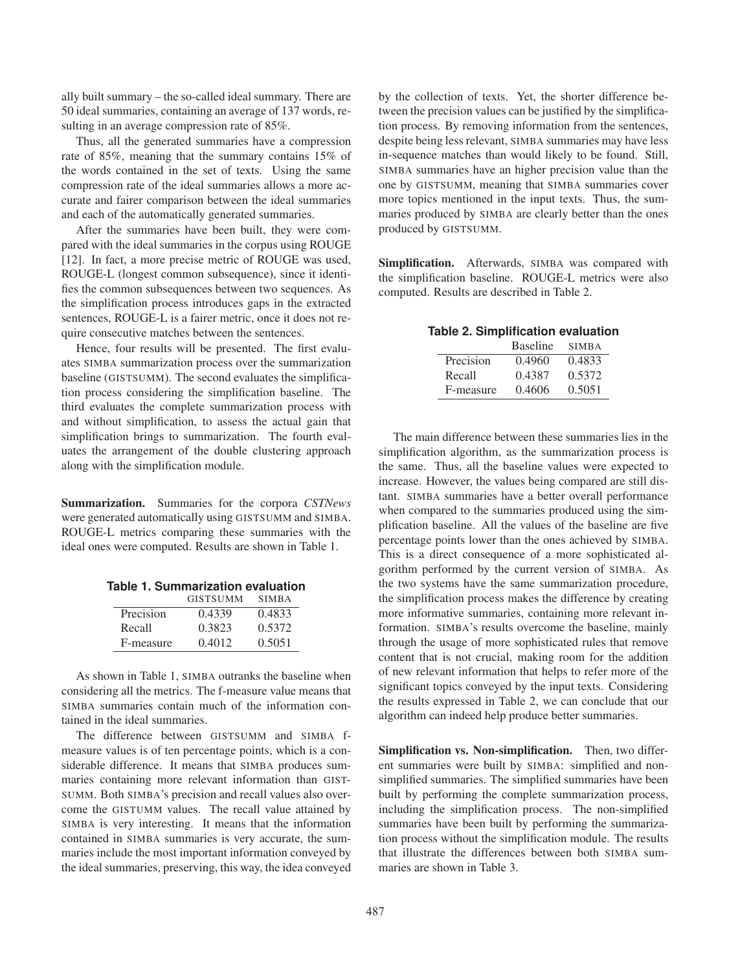ally built summary – the so-called ideal summary. There are 50 ideal summaries, containing an average of 137 words, resulting in an average compression rate of 85%.

Thus, all the generated summaries have a compression rate of 85%, meaning that the summary contains 15% of the words contained in the set of texts. Using the same compression rate of the ideal summaries allows a more accurate and fairer comparison between the ideal summaries and each of the automatically generated summaries.

After the summaries have been built, they were compared with the ideal summaries in the corpus using ROUGE [12]. In fact, a more precise metric of ROUGE was used, ROUGE-L (longest common subsequence), since it identifies the common subsequences between two sequences. As the simplification process introduces gaps in the extracted sentences, ROUGE-L is a fairer metric, once it does not require consecutive matches between the sentences.

Hence, four results will be presented. The first evaluates SIMBA summarization process over the summarization baseline (GISTSUMM). The second evaluates the simplification process considering the simplification baseline. The third evaluates the complete summarization process with and without simplification, to assess the actual gain that simplification brings to summarization. The fourth evaluates the arrangement of the double clustering approach along with the simplification module.

Summarization. Summaries for the corpora *CSTNews* were generated automatically using GISTSUMM and SIMBA. ROUGE-L metrics comparing these summaries with the ideal ones were computed. Results are shown in Table 1.

|  | <b>Table 1. Summarization evaluation</b> |        |
|--|------------------------------------------|--------|
|  | <b>GISTSHMM</b>                          | SIMR A |

|           | <b>GISTSUMM</b> | <b>SIMBA</b> |
|-----------|-----------------|--------------|
| Precision | 0.4339          | 0.4833       |
| Recall    | 0.3823          | 0.5372       |
| F-measure | 0.4012          | 0.5051       |

As shown in Table 1, SIMBA outranks the baseline when considering all the metrics. The f-measure value means that SIMBA summaries contain much of the information contained in the ideal summaries.

The difference between GISTSUMM and SIMBA fmeasure values is of ten percentage points, which is a considerable difference. It means that SIMBA produces summaries containing more relevant information than GIST-SUMM. Both SIMBA's precision and recall values also overcome the GISTUMM values. The recall value attained by SIMBA is very interesting. It means that the information contained in SIMBA summaries is very accurate, the summaries include the most important information conveyed by the ideal summaries, preserving, this way, the idea conveyed by the collection of texts. Yet, the shorter difference between the precision values can be justified by the simplification process. By removing information from the sentences, despite being less relevant, SIMBA summaries may have less in-sequence matches than would likely to be found. Still, SIMBA summaries have an higher precision value than the one by GISTSUMM, meaning that SIMBA summaries cover more topics mentioned in the input texts. Thus, the summaries produced by SIMBA are clearly better than the ones produced by GISTSUMM.

Simplification. Afterwards, SIMBA was compared with the simplification baseline. ROUGE-L metrics were also computed. Results are described in Table 2.

**Table 2. Simplification evaluation**

|           | <b>Baseline</b> | <b>SIMBA</b> |
|-----------|-----------------|--------------|
| Precision | 0.4960          | 0.4833       |
| Recall    | 0.4387          | 0.5372       |
| F-measure | 0.4606          | 0.5051       |

The main difference between these summaries lies in the simplification algorithm, as the summarization process is the same. Thus, all the baseline values were expected to increase. However, the values being compared are still distant. SIMBA summaries have a better overall performance when compared to the summaries produced using the simplification baseline. All the values of the baseline are five percentage points lower than the ones achieved by SIMBA. This is a direct consequence of a more sophisticated algorithm performed by the current version of SIMBA. As the two systems have the same summarization procedure, the simplification process makes the difference by creating more informative summaries, containing more relevant information. SIMBA's results overcome the baseline, mainly through the usage of more sophisticated rules that remove content that is not crucial, making room for the addition of new relevant information that helps to refer more of the significant topics conveyed by the input texts. Considering the results expressed in Table 2, we can conclude that our algorithm can indeed help produce better summaries.

Simplification vs. Non-simplification. Then, two different summaries were built by SIMBA: simplified and nonsimplified summaries. The simplified summaries have been built by performing the complete summarization process, including the simplification process. The non-simplified summaries have been built by performing the summarization process without the simplification module. The results that illustrate the differences between both SIMBA summaries are shown in Table 3.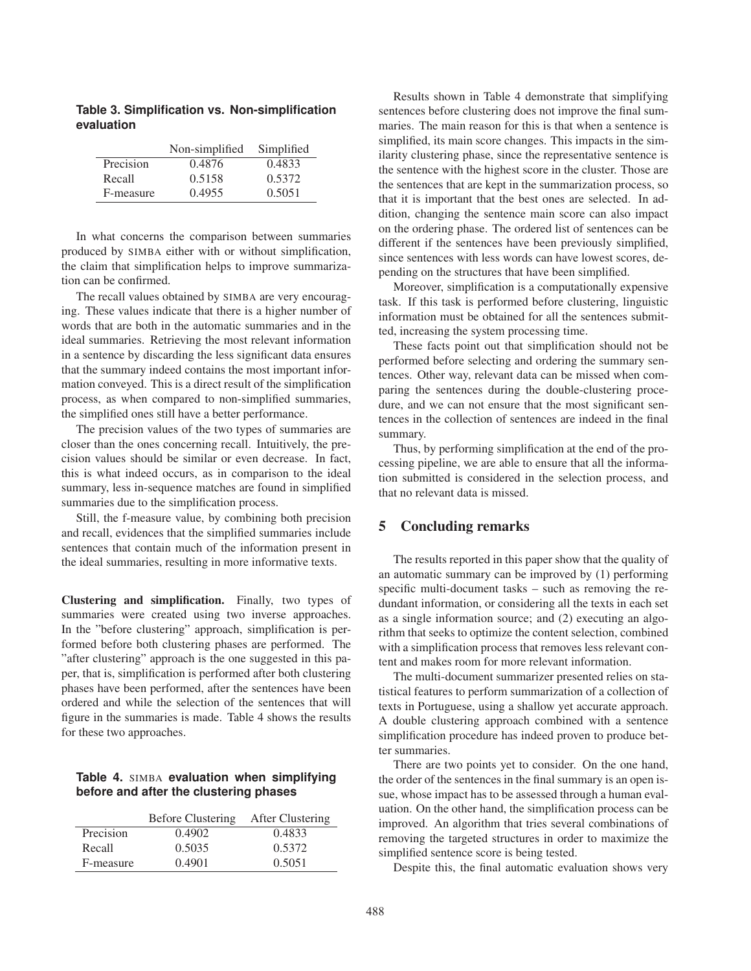|           | Non-simplified | Simplified |
|-----------|----------------|------------|
| Precision | 0.4876         | 0.4833     |
| Recall    | 0.5158         | 0.5372     |
| F-measure | 0.4955         | 0.5051     |

**Table 3. Simplification vs. Non-simplification evaluation**

In what concerns the comparison between summaries produced by SIMBA either with or without simplification, the claim that simplification helps to improve summarization can be confirmed.

The recall values obtained by SIMBA are very encouraging. These values indicate that there is a higher number of words that are both in the automatic summaries and in the ideal summaries. Retrieving the most relevant information in a sentence by discarding the less significant data ensures that the summary indeed contains the most important information conveyed. This is a direct result of the simplification process, as when compared to non-simplified summaries, the simplified ones still have a better performance.

The precision values of the two types of summaries are closer than the ones concerning recall. Intuitively, the precision values should be similar or even decrease. In fact, this is what indeed occurs, as in comparison to the ideal summary, less in-sequence matches are found in simplified summaries due to the simplification process.

Still, the f-measure value, by combining both precision and recall, evidences that the simplified summaries include sentences that contain much of the information present in the ideal summaries, resulting in more informative texts.

Clustering and simplification. Finally, two types of summaries were created using two inverse approaches. In the "before clustering" approach, simplification is performed before both clustering phases are performed. The "after clustering" approach is the one suggested in this paper, that is, simplification is performed after both clustering phases have been performed, after the sentences have been ordered and while the selection of the sentences that will figure in the summaries is made. Table 4 shows the results for these two approaches.

#### **Table 4.** SIMBA **evaluation when simplifying before and after the clustering phases**

|           | <b>Before Clustering</b> | After Clustering |
|-----------|--------------------------|------------------|
| Precision | 0.4902                   | 0.4833           |
| Recall    | 0.5035                   | 0.5372           |
| F-measure | 0.4901                   | 0.5051           |

Results shown in Table 4 demonstrate that simplifying sentences before clustering does not improve the final summaries. The main reason for this is that when a sentence is simplified, its main score changes. This impacts in the similarity clustering phase, since the representative sentence is the sentence with the highest score in the cluster. Those are the sentences that are kept in the summarization process, so that it is important that the best ones are selected. In addition, changing the sentence main score can also impact on the ordering phase. The ordered list of sentences can be different if the sentences have been previously simplified, since sentences with less words can have lowest scores, depending on the structures that have been simplified.

Moreover, simplification is a computationally expensive task. If this task is performed before clustering, linguistic information must be obtained for all the sentences submitted, increasing the system processing time.

These facts point out that simplification should not be performed before selecting and ordering the summary sentences. Other way, relevant data can be missed when comparing the sentences during the double-clustering procedure, and we can not ensure that the most significant sentences in the collection of sentences are indeed in the final summary.

Thus, by performing simplification at the end of the processing pipeline, we are able to ensure that all the information submitted is considered in the selection process, and that no relevant data is missed.

#### 5 Concluding remarks

The results reported in this paper show that the quality of an automatic summary can be improved by (1) performing specific multi-document tasks – such as removing the redundant information, or considering all the texts in each set as a single information source; and (2) executing an algorithm that seeks to optimize the content selection, combined with a simplification process that removes less relevant content and makes room for more relevant information.

The multi-document summarizer presented relies on statistical features to perform summarization of a collection of texts in Portuguese, using a shallow yet accurate approach. A double clustering approach combined with a sentence simplification procedure has indeed proven to produce better summaries.

There are two points yet to consider. On the one hand, the order of the sentences in the final summary is an open issue, whose impact has to be assessed through a human evaluation. On the other hand, the simplification process can be improved. An algorithm that tries several combinations of removing the targeted structures in order to maximize the simplified sentence score is being tested.

Despite this, the final automatic evaluation shows very